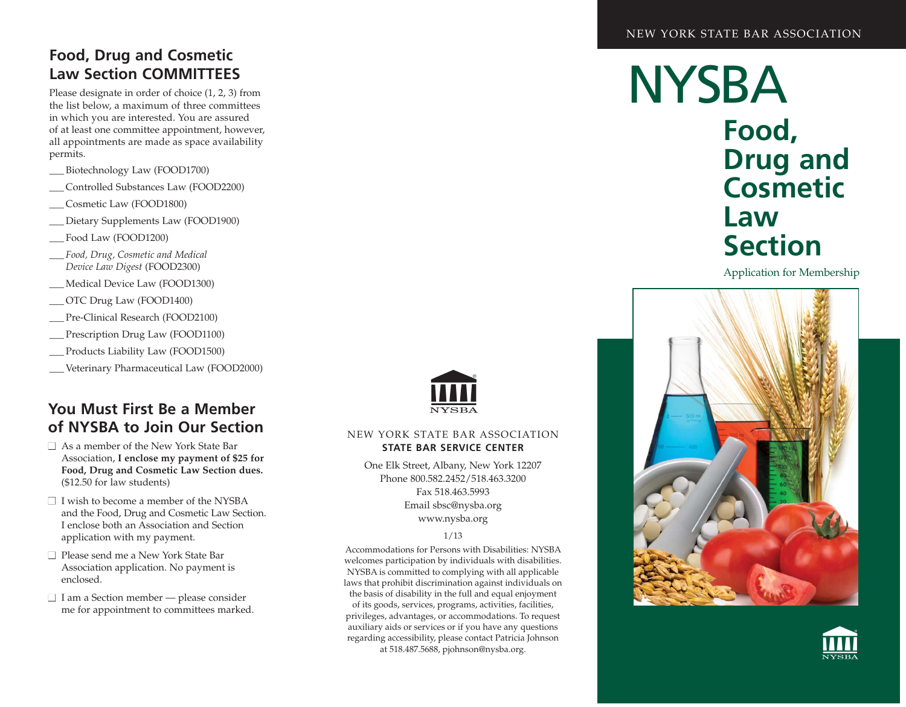## **Food, Drug and Cosmetic Law Section COMMITTEES**

Please designate in order of choice (1, 2, 3) from the list below, a maximum of three committees in which you are interested. You are assured of at least one committee appointment, however, all appointments are made as space availability permits.

- \_\_\_ Biotechnology Law (FOOD1700)
- \_\_\_ Controlled Substances Law (FOOD2200)
- \_\_\_ Cosmetic Law (FOOD1800)
- Dietary Supplements Law (FOOD1900)
- Food Law (FOOD1200)
- \_\_\_ *Food, Drug, Cosmetic and Medical Device Law Digest* (FOOD2300)
- \_\_\_ Medical Device Law (FOOD1300)
- \_\_\_ OTC Drug Law (FOOD1400)
- \_\_\_ Pre-Clinical Research (FOOD2100)
- \_\_\_ Prescription Drug Law (FOOD1100)
- \_\_\_ Products Liability Law (FOOD1500)
- \_\_\_ Veterinary Pharmaceutical Law (FOOD2000)

### **You Must First Be a Member of NYSBA to Join Our Section**

- $\Box$  As a member of the New York State Bar Association, I enclose my payment of \$25 for Food, Drug and Cosmetic Law Section dues. (\$12.50 for law students)
- □ I wish to become a member of the NYSBA and the Food, Drug and Cosmetic Law Section. I enclose both an Association and Section application with my payment.
- □ Please send me a New York State Bar Association application. No payment is en closed.
- $\Box$  I am a Section member please consider me for appointment to committees marked.



#### NEW YORK STATE BAR ASSOCIATION **STATE BAR SERVICE CENTER**

One Elk Street, Albany, New York 12207 Phone 800.582.2452/518.463.3200 Fax 518.463.5993 Email sbsc@nysba.org www.nysba.org

#### 1/13

Accommodations for Persons with Disabilities: NYSBA welcomes participation by individuals with disabilities. NYSBA is committed to complying with all applicable laws that prohibit discrimination against individuals on the basis of disability in the full and equal enjoyment of its goods, services, programs, activities, facilities, privileges, advantages, or accommodations. To request auxiliary aids or services or if you have any questions regarding accessibility, please contact Patricia Johnson at 518.487.5688, pjohnson@nysba.org.

**NYSBA Food, Drug and Cosmetic Law Section**

Application for Membership